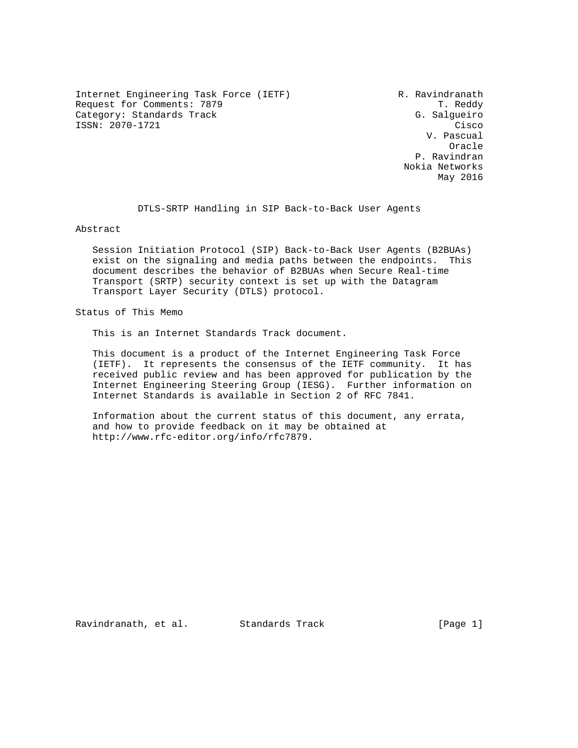Internet Engineering Task Force (IETF) R. Ravindranath Request for Comments: 7879 T. Reddy Category: Standards Track G. Salgueiro ISSN: 2070-1721 Cisco

 V. Pascual **Oracle** (1999) and the contract of the contract of the contract of the contract of the contract of the contract of the contract of the contract of the contract of the contract of the contract of the contract of the contra P. Ravindran Nokia Networks May 2016

DTLS-SRTP Handling in SIP Back-to-Back User Agents

Abstract

 Session Initiation Protocol (SIP) Back-to-Back User Agents (B2BUAs) exist on the signaling and media paths between the endpoints. This document describes the behavior of B2BUAs when Secure Real-time Transport (SRTP) security context is set up with the Datagram Transport Layer Security (DTLS) protocol.

Status of This Memo

This is an Internet Standards Track document.

 This document is a product of the Internet Engineering Task Force (IETF). It represents the consensus of the IETF community. It has received public review and has been approved for publication by the Internet Engineering Steering Group (IESG). Further information on Internet Standards is available in Section 2 of RFC 7841.

 Information about the current status of this document, any errata, and how to provide feedback on it may be obtained at http://www.rfc-editor.org/info/rfc7879.

Ravindranath, et al. Standards Track [Page 1]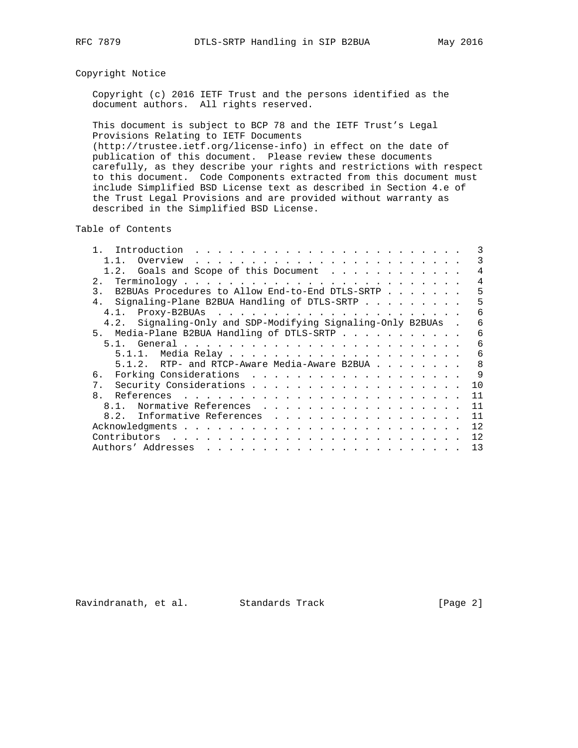# Copyright Notice

 Copyright (c) 2016 IETF Trust and the persons identified as the document authors. All rights reserved.

 This document is subject to BCP 78 and the IETF Trust's Legal Provisions Relating to IETF Documents (http://trustee.ietf.org/license-info) in effect on the date of publication of this document. Please review these documents carefully, as they describe your rights and restrictions with respect to this document. Code Components extracted from this document must include Simplified BSD License text as described in Section 4.e of the Trust Legal Provisions and are provided without warranty as described in the Simplified BSD License.

Table of Contents

| Introduction                                                |    |
|-------------------------------------------------------------|----|
| Overview<br>$1\quad1$                                       | 3  |
| 1.2. Goals and Scope of this Document                       |    |
| 2.                                                          | 4  |
| B2BUAs Procedures to Allow End-to-End DTLS-SRTP<br>3.       | 5  |
| 4. Signaling-Plane B2BUA Handling of DTLS-SRTP              | 5  |
| 4.1.                                                        | 6  |
| 4.2. Signaling-Only and SDP-Modifying Signaling-Only B2BUAs | 6  |
| 5. Media-Plane B2BUA Handling of DTLS-SRTP                  | 6  |
|                                                             | 6  |
|                                                             | 6  |
| 5.1.2. RTP- and RTCP-Aware Media-Aware B2BUA                | 8  |
| б.                                                          | 9  |
| 7 <sup>1</sup>                                              | 10 |
| $\mathsf{R}$                                                | 11 |
| 8.1. Normative References                                   | 11 |
| 8.2. Informative References                                 | 11 |
|                                                             | 12 |
|                                                             | 12 |
|                                                             | 13 |

Ravindranath, et al. Standards Track [Page 2]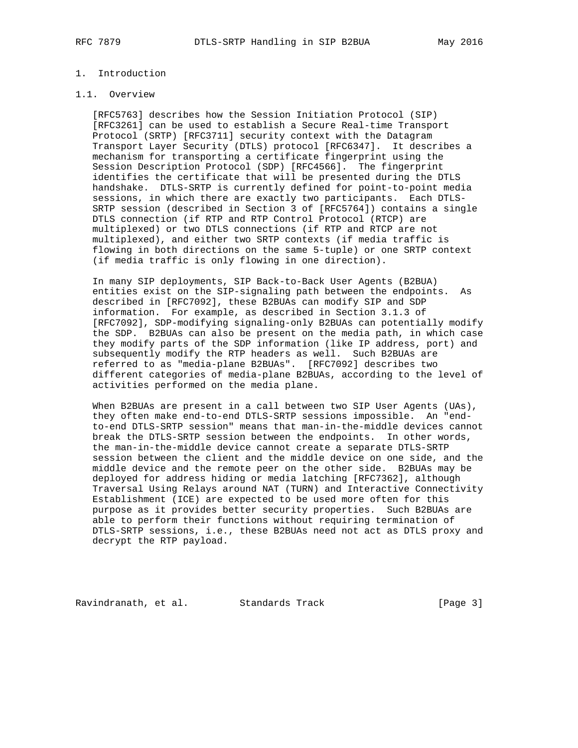# 1. Introduction

#### 1.1. Overview

 [RFC5763] describes how the Session Initiation Protocol (SIP) [RFC3261] can be used to establish a Secure Real-time Transport Protocol (SRTP) [RFC3711] security context with the Datagram Transport Layer Security (DTLS) protocol [RFC6347]. It describes a mechanism for transporting a certificate fingerprint using the Session Description Protocol (SDP) [RFC4566]. The fingerprint identifies the certificate that will be presented during the DTLS handshake. DTLS-SRTP is currently defined for point-to-point media sessions, in which there are exactly two participants. Each DTLS- SRTP session (described in Section 3 of [RFC5764]) contains a single DTLS connection (if RTP and RTP Control Protocol (RTCP) are multiplexed) or two DTLS connections (if RTP and RTCP are not multiplexed), and either two SRTP contexts (if media traffic is flowing in both directions on the same 5-tuple) or one SRTP context (if media traffic is only flowing in one direction).

 In many SIP deployments, SIP Back-to-Back User Agents (B2BUA) entities exist on the SIP-signaling path between the endpoints. As described in [RFC7092], these B2BUAs can modify SIP and SDP information. For example, as described in Section 3.1.3 of [RFC7092], SDP-modifying signaling-only B2BUAs can potentially modify the SDP. B2BUAs can also be present on the media path, in which case they modify parts of the SDP information (like IP address, port) and subsequently modify the RTP headers as well. Such B2BUAs are referred to as "media-plane B2BUAs". [RFC7092] describes two different categories of media-plane B2BUAs, according to the level of activities performed on the media plane.

 When B2BUAs are present in a call between two SIP User Agents (UAs), they often make end-to-end DTLS-SRTP sessions impossible. An "end to-end DTLS-SRTP session" means that man-in-the-middle devices cannot break the DTLS-SRTP session between the endpoints. In other words, the man-in-the-middle device cannot create a separate DTLS-SRTP session between the client and the middle device on one side, and the middle device and the remote peer on the other side. B2BUAs may be deployed for address hiding or media latching [RFC7362], although Traversal Using Relays around NAT (TURN) and Interactive Connectivity Establishment (ICE) are expected to be used more often for this purpose as it provides better security properties. Such B2BUAs are able to perform their functions without requiring termination of DTLS-SRTP sessions, i.e., these B2BUAs need not act as DTLS proxy and decrypt the RTP payload.

Ravindranath, et al. Standards Track [Page 3]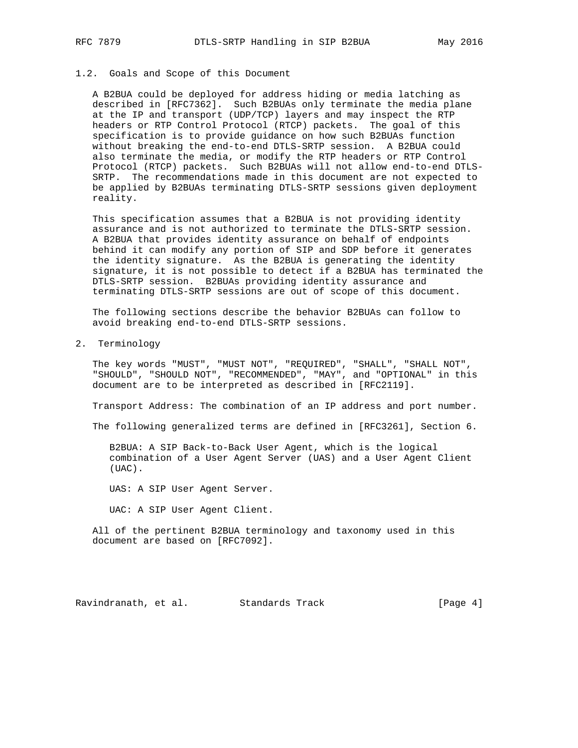#### 1.2. Goals and Scope of this Document

 A B2BUA could be deployed for address hiding or media latching as described in [RFC7362]. Such B2BUAs only terminate the media plane at the IP and transport (UDP/TCP) layers and may inspect the RTP headers or RTP Control Protocol (RTCP) packets. The goal of this specification is to provide guidance on how such B2BUAs function without breaking the end-to-end DTLS-SRTP session. A B2BUA could also terminate the media, or modify the RTP headers or RTP Control Protocol (RTCP) packets. Such B2BUAs will not allow end-to-end DTLS- SRTP. The recommendations made in this document are not expected to be applied by B2BUAs terminating DTLS-SRTP sessions given deployment reality.

 This specification assumes that a B2BUA is not providing identity assurance and is not authorized to terminate the DTLS-SRTP session. A B2BUA that provides identity assurance on behalf of endpoints behind it can modify any portion of SIP and SDP before it generates the identity signature. As the B2BUA is generating the identity signature, it is not possible to detect if a B2BUA has terminated the DTLS-SRTP session. B2BUAs providing identity assurance and terminating DTLS-SRTP sessions are out of scope of this document.

 The following sections describe the behavior B2BUAs can follow to avoid breaking end-to-end DTLS-SRTP sessions.

2. Terminology

 The key words "MUST", "MUST NOT", "REQUIRED", "SHALL", "SHALL NOT", "SHOULD", "SHOULD NOT", "RECOMMENDED", "MAY", and "OPTIONAL" in this document are to be interpreted as described in [RFC2119].

Transport Address: The combination of an IP address and port number.

The following generalized terms are defined in [RFC3261], Section 6.

 B2BUA: A SIP Back-to-Back User Agent, which is the logical combination of a User Agent Server (UAS) and a User Agent Client (UAC).

UAS: A SIP User Agent Server.

UAC: A SIP User Agent Client.

 All of the pertinent B2BUA terminology and taxonomy used in this document are based on [RFC7092].

Ravindranath, et al. Standards Track [Page 4]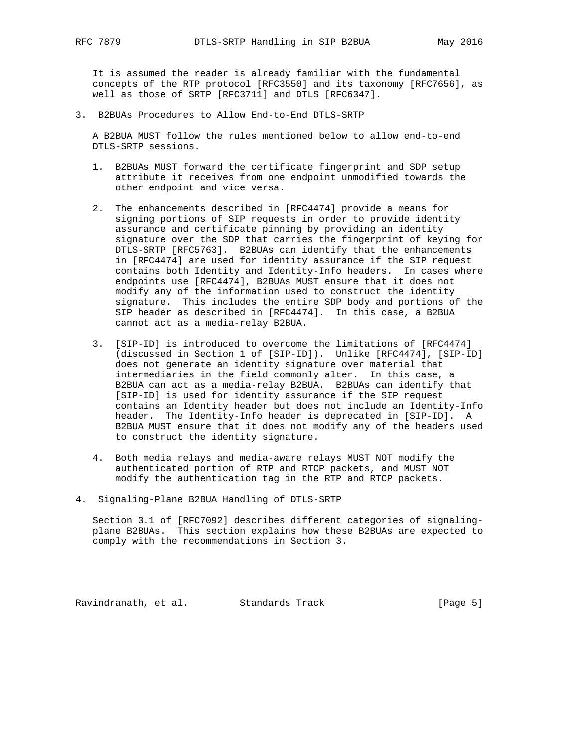It is assumed the reader is already familiar with the fundamental concepts of the RTP protocol [RFC3550] and its taxonomy [RFC7656], as well as those of SRTP [RFC3711] and DTLS [RFC6347].

3. B2BUAs Procedures to Allow End-to-End DTLS-SRTP

 A B2BUA MUST follow the rules mentioned below to allow end-to-end DTLS-SRTP sessions.

- 1. B2BUAs MUST forward the certificate fingerprint and SDP setup attribute it receives from one endpoint unmodified towards the other endpoint and vice versa.
- 2. The enhancements described in [RFC4474] provide a means for signing portions of SIP requests in order to provide identity assurance and certificate pinning by providing an identity signature over the SDP that carries the fingerprint of keying for DTLS-SRTP [RFC5763]. B2BUAs can identify that the enhancements in [RFC4474] are used for identity assurance if the SIP request contains both Identity and Identity-Info headers. In cases where endpoints use [RFC4474], B2BUAs MUST ensure that it does not modify any of the information used to construct the identity signature. This includes the entire SDP body and portions of the SIP header as described in [RFC4474]. In this case, a B2BUA cannot act as a media-relay B2BUA.
- 3. [SIP-ID] is introduced to overcome the limitations of [RFC4474] (discussed in Section 1 of [SIP-ID]). Unlike [RFC4474], [SIP-ID] does not generate an identity signature over material that intermediaries in the field commonly alter. In this case, a B2BUA can act as a media-relay B2BUA. B2BUAs can identify that [SIP-ID] is used for identity assurance if the SIP request contains an Identity header but does not include an Identity-Info header. The Identity-Info header is deprecated in [SIP-ID]. A B2BUA MUST ensure that it does not modify any of the headers used to construct the identity signature.
- 4. Both media relays and media-aware relays MUST NOT modify the authenticated portion of RTP and RTCP packets, and MUST NOT modify the authentication tag in the RTP and RTCP packets.
- 4. Signaling-Plane B2BUA Handling of DTLS-SRTP

 Section 3.1 of [RFC7092] describes different categories of signaling plane B2BUAs. This section explains how these B2BUAs are expected to comply with the recommendations in Section 3.

Ravindranath, et al. Standards Track [Page 5]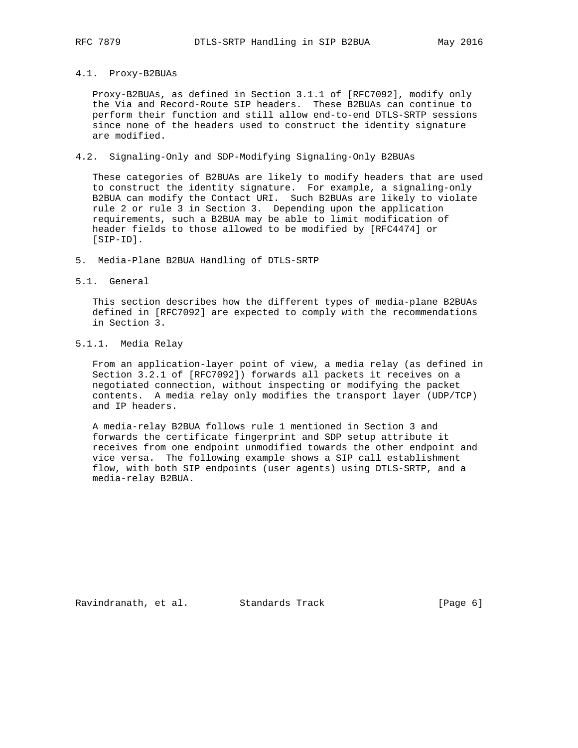# 4.1. Proxy-B2BUAs

 Proxy-B2BUAs, as defined in Section 3.1.1 of [RFC7092], modify only the Via and Record-Route SIP headers. These B2BUAs can continue to perform their function and still allow end-to-end DTLS-SRTP sessions since none of the headers used to construct the identity signature are modified.

### 4.2. Signaling-Only and SDP-Modifying Signaling-Only B2BUAs

 These categories of B2BUAs are likely to modify headers that are used to construct the identity signature. For example, a signaling-only B2BUA can modify the Contact URI. Such B2BUAs are likely to violate rule 2 or rule 3 in Section 3. Depending upon the application requirements, such a B2BUA may be able to limit modification of header fields to those allowed to be modified by [RFC4474] or [SIP-ID].

- 5. Media-Plane B2BUA Handling of DTLS-SRTP
- 5.1. General

 This section describes how the different types of media-plane B2BUAs defined in [RFC7092] are expected to comply with the recommendations in Section 3.

# 5.1.1. Media Relay

 From an application-layer point of view, a media relay (as defined in Section 3.2.1 of [RFC7092]) forwards all packets it receives on a negotiated connection, without inspecting or modifying the packet contents. A media relay only modifies the transport layer (UDP/TCP) and IP headers.

 A media-relay B2BUA follows rule 1 mentioned in Section 3 and forwards the certificate fingerprint and SDP setup attribute it receives from one endpoint unmodified towards the other endpoint and vice versa. The following example shows a SIP call establishment flow, with both SIP endpoints (user agents) using DTLS-SRTP, and a media-relay B2BUA.

Ravindranath, et al. Standards Track [Page 6]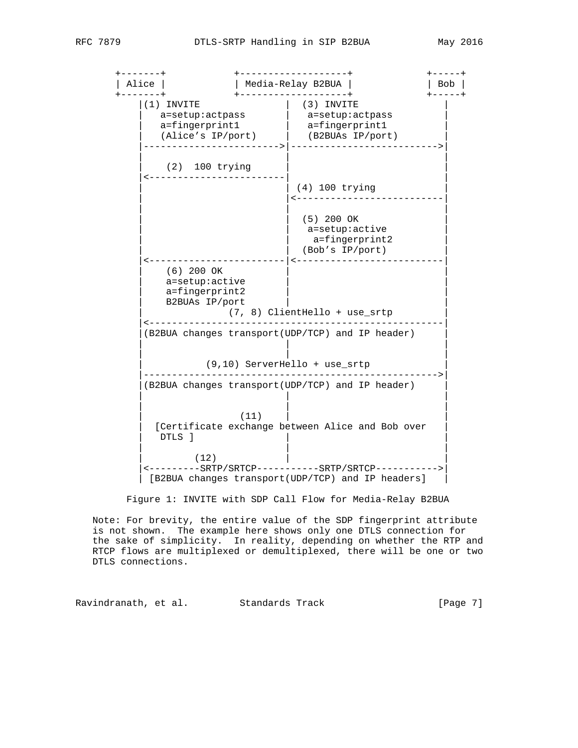+-------+ +-------------------+ +-----+ | Alice | | Media-Relay B2BUA | | Bob | +-------+ +-------------------+ +-----+  $|(1)$  INVITE  $|$  (3) INVITE  $|$  | a=setup:actpass | a=setup:actpass |  $|$  a=fingerprint1  $|$  a=fingerprint1  $|$  | (Alice's IP/port) | (B2BUAs IP/port) | |------------------------>|-------------------------->| | | | (2) 100 trying |<------------------------| |  $(4)$  100 trying | <-------------------------- | | | | | (5) 200 OK | a=setup:active a=fingerprint2 | | (Bob's IP/port) | |<------------------------|<--------------------------| (6) 200 OK a=setup:active a=fingerprint2 B2BUAs IP/port | (7, 8) ClientHello + use\_srtp | |<----------------------------------------------------| |(B2BUA changes transport(UDP/TCP) and IP header) | | | | | | | | (9,10) ServerHello + use\_srtp | |---------------------------------------------------->| |(B2BUA changes transport(UDP/TCP) and IP header) | | | | | | | | (11) | | | [Certificate exchange between Alice and Bob over | | DTLS ] | | | | |  $\vert$  (12)  $\vert$  |<---------SRTP/SRTCP-----------SRTP/SRTCP----------->| | [B2BUA changes transport(UDP/TCP) and IP headers] |

Figure 1: INVITE with SDP Call Flow for Media-Relay B2BUA

 Note: For brevity, the entire value of the SDP fingerprint attribute is not shown. The example here shows only one DTLS connection for the sake of simplicity. In reality, depending on whether the RTP and RTCP flows are multiplexed or demultiplexed, there will be one or two DTLS connections.

Ravindranath, et al. Standards Track [Page 7]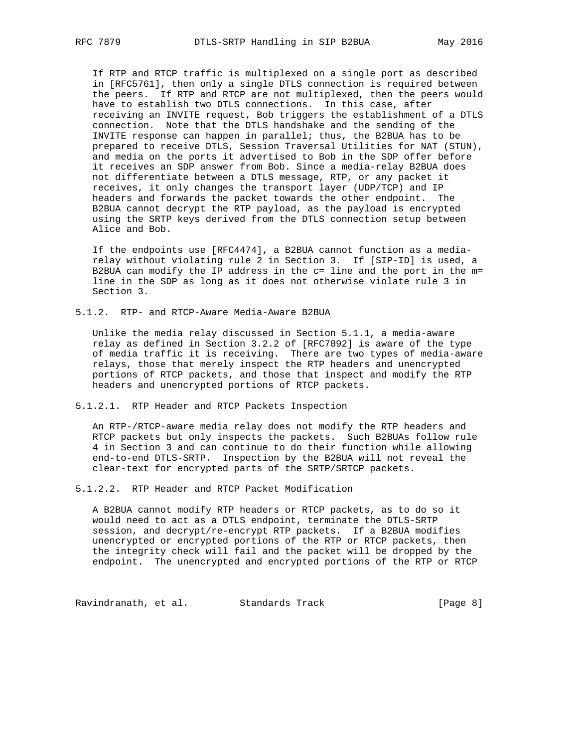If RTP and RTCP traffic is multiplexed on a single port as described in [RFC5761], then only a single DTLS connection is required between the peers. If RTP and RTCP are not multiplexed, then the peers would have to establish two DTLS connections. In this case, after receiving an INVITE request, Bob triggers the establishment of a DTLS connection. Note that the DTLS handshake and the sending of the INVITE response can happen in parallel; thus, the B2BUA has to be prepared to receive DTLS, Session Traversal Utilities for NAT (STUN), and media on the ports it advertised to Bob in the SDP offer before it receives an SDP answer from Bob. Since a media-relay B2BUA does not differentiate between a DTLS message, RTP, or any packet it receives, it only changes the transport layer (UDP/TCP) and IP headers and forwards the packet towards the other endpoint. The B2BUA cannot decrypt the RTP payload, as the payload is encrypted using the SRTP keys derived from the DTLS connection setup between Alice and Bob.

 If the endpoints use [RFC4474], a B2BUA cannot function as a media relay without violating rule 2 in Section 3. If [SIP-ID] is used, a B2BUA can modify the IP address in the c= line and the port in the m= line in the SDP as long as it does not otherwise violate rule 3 in Section 3.

5.1.2. RTP- and RTCP-Aware Media-Aware B2BUA

 Unlike the media relay discussed in Section 5.1.1, a media-aware relay as defined in Section 3.2.2 of [RFC7092] is aware of the type of media traffic it is receiving. There are two types of media-aware relays, those that merely inspect the RTP headers and unencrypted portions of RTCP packets, and those that inspect and modify the RTP headers and unencrypted portions of RTCP packets.

5.1.2.1. RTP Header and RTCP Packets Inspection

 An RTP-/RTCP-aware media relay does not modify the RTP headers and RTCP packets but only inspects the packets. Such B2BUAs follow rule 4 in Section 3 and can continue to do their function while allowing end-to-end DTLS-SRTP. Inspection by the B2BUA will not reveal the clear-text for encrypted parts of the SRTP/SRTCP packets.

5.1.2.2. RTP Header and RTCP Packet Modification

 A B2BUA cannot modify RTP headers or RTCP packets, as to do so it would need to act as a DTLS endpoint, terminate the DTLS-SRTP session, and decrypt/re-encrypt RTP packets. If a B2BUA modifies unencrypted or encrypted portions of the RTP or RTCP packets, then the integrity check will fail and the packet will be dropped by the endpoint. The unencrypted and encrypted portions of the RTP or RTCP

Ravindranath, et al. Standards Track (Page 8)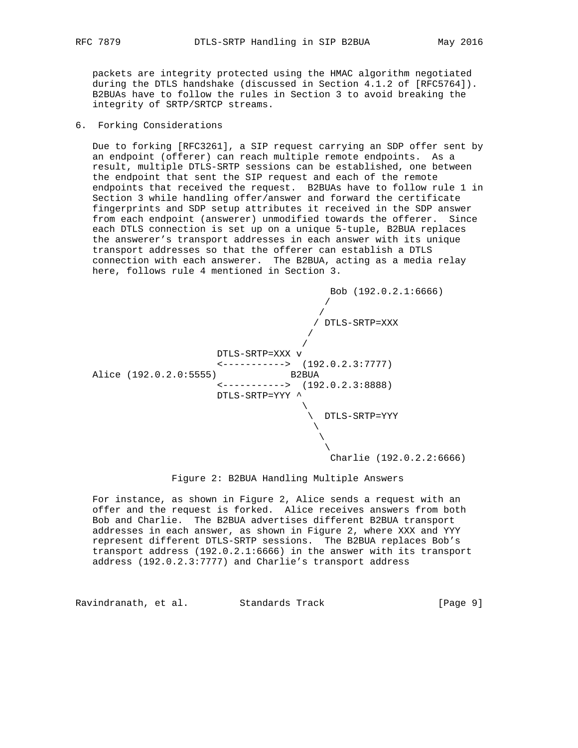packets are integrity protected using the HMAC algorithm negotiated during the DTLS handshake (discussed in Section 4.1.2 of [RFC5764]). B2BUAs have to follow the rules in Section 3 to avoid breaking the integrity of SRTP/SRTCP streams.

### 6. Forking Considerations

 Due to forking [RFC3261], a SIP request carrying an SDP offer sent by an endpoint (offerer) can reach multiple remote endpoints. As a result, multiple DTLS-SRTP sessions can be established, one between the endpoint that sent the SIP request and each of the remote endpoints that received the request. B2BUAs have to follow rule 1 in Section 3 while handling offer/answer and forward the certificate fingerprints and SDP setup attributes it received in the SDP answer from each endpoint (answerer) unmodified towards the offerer. Since each DTLS connection is set up on a unique 5-tuple, B2BUA replaces the answerer's transport addresses in each answer with its unique transport addresses so that the offerer can establish a DTLS connection with each answerer. The B2BUA, acting as a media relay here, follows rule 4 mentioned in Section 3.



#### Figure 2: B2BUA Handling Multiple Answers

 For instance, as shown in Figure 2, Alice sends a request with an offer and the request is forked. Alice receives answers from both Bob and Charlie. The B2BUA advertises different B2BUA transport addresses in each answer, as shown in Figure 2, where XXX and YYY represent different DTLS-SRTP sessions. The B2BUA replaces Bob's transport address (192.0.2.1:6666) in the answer with its transport address (192.0.2.3:7777) and Charlie's transport address

Ravindranath, et al. Standards Track [Page 9]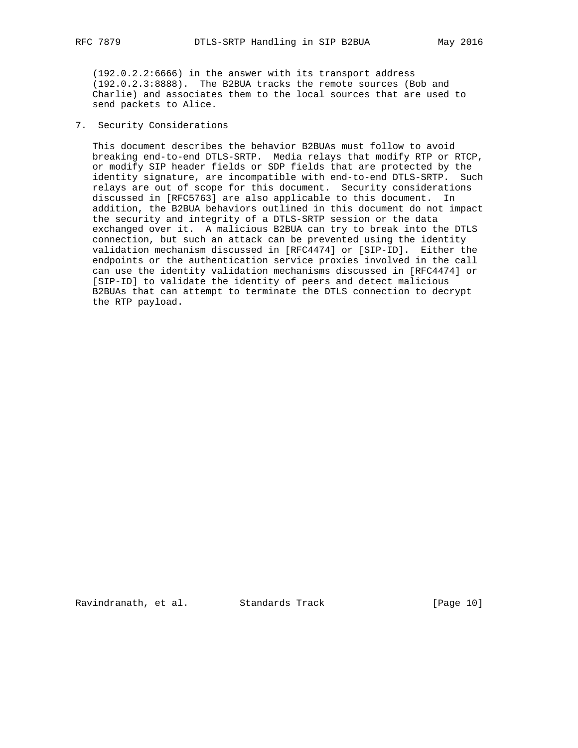(192.0.2.2:6666) in the answer with its transport address (192.0.2.3:8888). The B2BUA tracks the remote sources (Bob and Charlie) and associates them to the local sources that are used to send packets to Alice.

# 7. Security Considerations

 This document describes the behavior B2BUAs must follow to avoid breaking end-to-end DTLS-SRTP. Media relays that modify RTP or RTCP, or modify SIP header fields or SDP fields that are protected by the identity signature, are incompatible with end-to-end DTLS-SRTP. Such relays are out of scope for this document. Security considerations discussed in [RFC5763] are also applicable to this document. In addition, the B2BUA behaviors outlined in this document do not impact the security and integrity of a DTLS-SRTP session or the data exchanged over it. A malicious B2BUA can try to break into the DTLS connection, but such an attack can be prevented using the identity validation mechanism discussed in [RFC4474] or [SIP-ID]. Either the endpoints or the authentication service proxies involved in the call can use the identity validation mechanisms discussed in [RFC4474] or [SIP-ID] to validate the identity of peers and detect malicious B2BUAs that can attempt to terminate the DTLS connection to decrypt the RTP payload.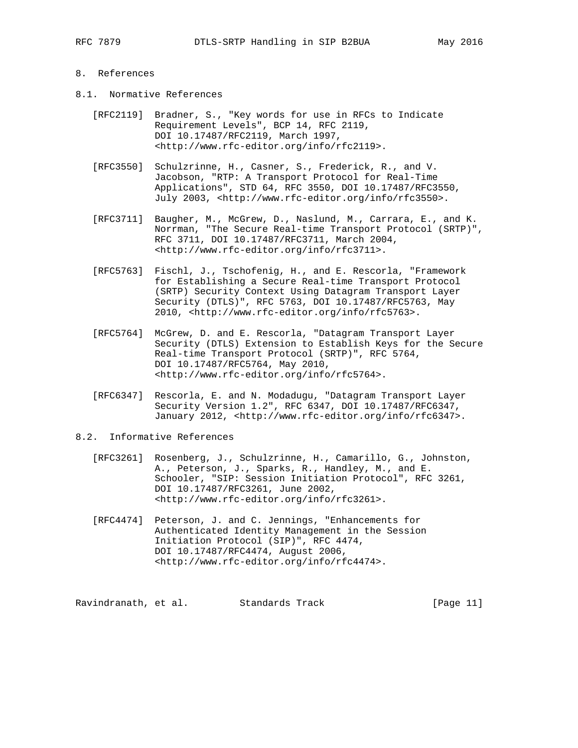# 8. References

- 8.1. Normative References
	- [RFC2119] Bradner, S., "Key words for use in RFCs to Indicate Requirement Levels", BCP 14, RFC 2119, DOI 10.17487/RFC2119, March 1997, <http://www.rfc-editor.org/info/rfc2119>.
	- [RFC3550] Schulzrinne, H., Casner, S., Frederick, R., and V. Jacobson, "RTP: A Transport Protocol for Real-Time Applications", STD 64, RFC 3550, DOI 10.17487/RFC3550, July 2003, <http://www.rfc-editor.org/info/rfc3550>.
	- [RFC3711] Baugher, M., McGrew, D., Naslund, M., Carrara, E., and K. Norrman, "The Secure Real-time Transport Protocol (SRTP)", RFC 3711, DOI 10.17487/RFC3711, March 2004, <http://www.rfc-editor.org/info/rfc3711>.
	- [RFC5763] Fischl, J., Tschofenig, H., and E. Rescorla, "Framework for Establishing a Secure Real-time Transport Protocol (SRTP) Security Context Using Datagram Transport Layer Security (DTLS)", RFC 5763, DOI 10.17487/RFC5763, May 2010, <http://www.rfc-editor.org/info/rfc5763>.
	- [RFC5764] McGrew, D. and E. Rescorla, "Datagram Transport Layer Security (DTLS) Extension to Establish Keys for the Secure Real-time Transport Protocol (SRTP)", RFC 5764, DOI 10.17487/RFC5764, May 2010, <http://www.rfc-editor.org/info/rfc5764>.
	- [RFC6347] Rescorla, E. and N. Modadugu, "Datagram Transport Layer Security Version 1.2", RFC 6347, DOI 10.17487/RFC6347, January 2012, <http://www.rfc-editor.org/info/rfc6347>.

#### 8.2. Informative References

- [RFC3261] Rosenberg, J., Schulzrinne, H., Camarillo, G., Johnston, A., Peterson, J., Sparks, R., Handley, M., and E. Schooler, "SIP: Session Initiation Protocol", RFC 3261, DOI 10.17487/RFC3261, June 2002, <http://www.rfc-editor.org/info/rfc3261>.
- [RFC4474] Peterson, J. and C. Jennings, "Enhancements for Authenticated Identity Management in the Session Initiation Protocol (SIP)", RFC 4474, DOI 10.17487/RFC4474, August 2006, <http://www.rfc-editor.org/info/rfc4474>.

Ravindranath, et al. Standards Track [Page 11]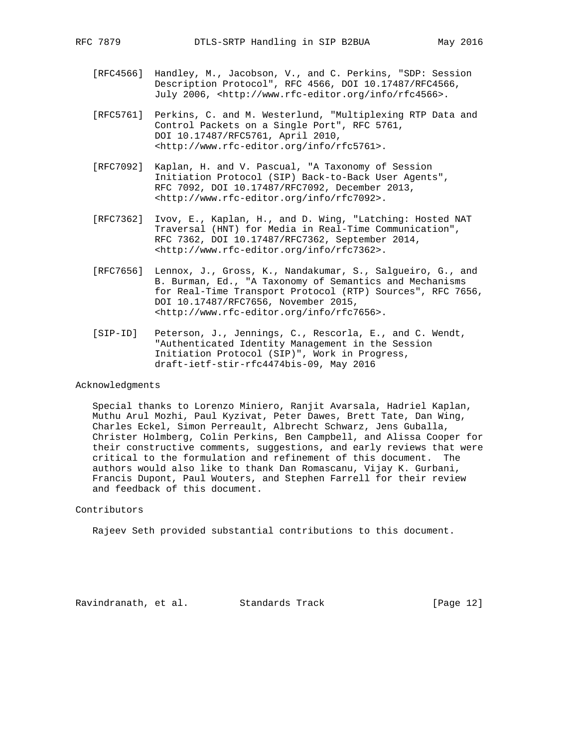- [RFC4566] Handley, M., Jacobson, V., and C. Perkins, "SDP: Session Description Protocol", RFC 4566, DOI 10.17487/RFC4566, July 2006, <http://www.rfc-editor.org/info/rfc4566>.
- [RFC5761] Perkins, C. and M. Westerlund, "Multiplexing RTP Data and Control Packets on a Single Port", RFC 5761, DOI 10.17487/RFC5761, April 2010, <http://www.rfc-editor.org/info/rfc5761>.
- [RFC7092] Kaplan, H. and V. Pascual, "A Taxonomy of Session Initiation Protocol (SIP) Back-to-Back User Agents", RFC 7092, DOI 10.17487/RFC7092, December 2013, <http://www.rfc-editor.org/info/rfc7092>.
- [RFC7362] Ivov, E., Kaplan, H., and D. Wing, "Latching: Hosted NAT Traversal (HNT) for Media in Real-Time Communication", RFC 7362, DOI 10.17487/RFC7362, September 2014, <http://www.rfc-editor.org/info/rfc7362>.
- [RFC7656] Lennox, J., Gross, K., Nandakumar, S., Salgueiro, G., and B. Burman, Ed., "A Taxonomy of Semantics and Mechanisms for Real-Time Transport Protocol (RTP) Sources", RFC 7656, DOI 10.17487/RFC7656, November 2015, <http://www.rfc-editor.org/info/rfc7656>.
- [SIP-ID] Peterson, J., Jennings, C., Rescorla, E., and C. Wendt, "Authenticated Identity Management in the Session Initiation Protocol (SIP)", Work in Progress, draft-ietf-stir-rfc4474bis-09, May 2016

#### Acknowledgments

 Special thanks to Lorenzo Miniero, Ranjit Avarsala, Hadriel Kaplan, Muthu Arul Mozhi, Paul Kyzivat, Peter Dawes, Brett Tate, Dan Wing, Charles Eckel, Simon Perreault, Albrecht Schwarz, Jens Guballa, Christer Holmberg, Colin Perkins, Ben Campbell, and Alissa Cooper for their constructive comments, suggestions, and early reviews that were critical to the formulation and refinement of this document. The authors would also like to thank Dan Romascanu, Vijay K. Gurbani, Francis Dupont, Paul Wouters, and Stephen Farrell for their review and feedback of this document.

# Contributors

Rajeev Seth provided substantial contributions to this document.

Ravindranath, et al. Standards Track [Page 12]